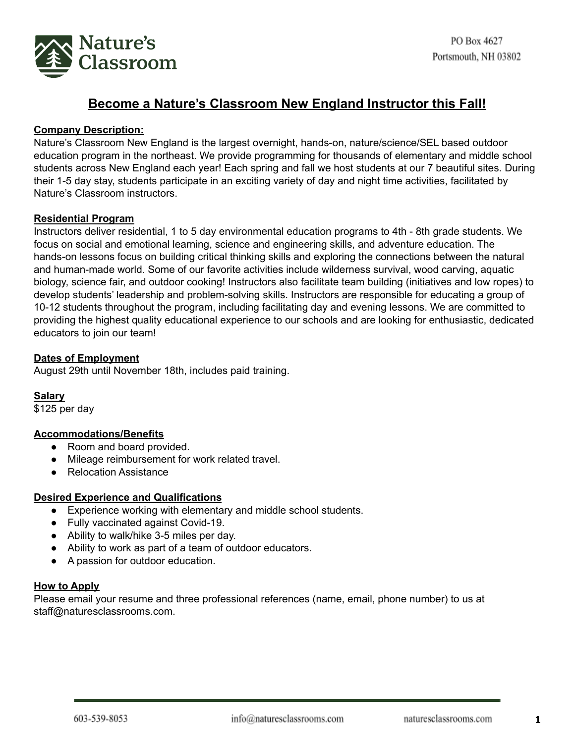

# **Become a Nature's Classroom New England Instructor this Fall!**

## **Company Description:**

Nature's Classroom New England is the largest overnight, hands-on, nature/science/SEL based outdoor education program in the northeast. We provide programming for thousands of elementary and middle school students across New England each year! Each spring and fall we host students at our 7 beautiful sites. During their 1-5 day stay, students participate in an exciting variety of day and night time activities, facilitated by Nature's Classroom instructors.

#### **Residential Program**

Instructors deliver residential, 1 to 5 day environmental education programs to 4th - 8th grade students. We focus on social and emotional learning, science and engineering skills, and adventure education. The hands-on lessons focus on building critical thinking skills and exploring the connections between the natural and human-made world. Some of our favorite activities include wilderness survival, wood carving, aquatic biology, science fair, and outdoor cooking! Instructors also facilitate team building (initiatives and low ropes) to develop students' leadership and problem-solving skills. Instructors are responsible for educating a group of 10-12 students throughout the program, including facilitating day and evening lessons. We are committed to providing the highest quality educational experience to our schools and are looking for enthusiastic, dedicated educators to join our team!

#### **Dates of Employment**

August 29th until November 18th, includes paid training.

#### **Salary**

\$125 per day

## **Accommodations/Benefits**

- Room and board provided.
- Mileage reimbursement for work related travel.
- Relocation Assistance

## **Desired Experience and Qualifications**

- Experience working with elementary and middle school students.
- Fully vaccinated against Covid-19.
- Ability to walk/hike 3-5 miles per day.
- Ability to work as part of a team of outdoor educators.
- A passion for outdoor education.

#### **How to Apply**

Please email your resume and three professional references (name, email, phone number) to us at staff@naturesclassrooms.com.